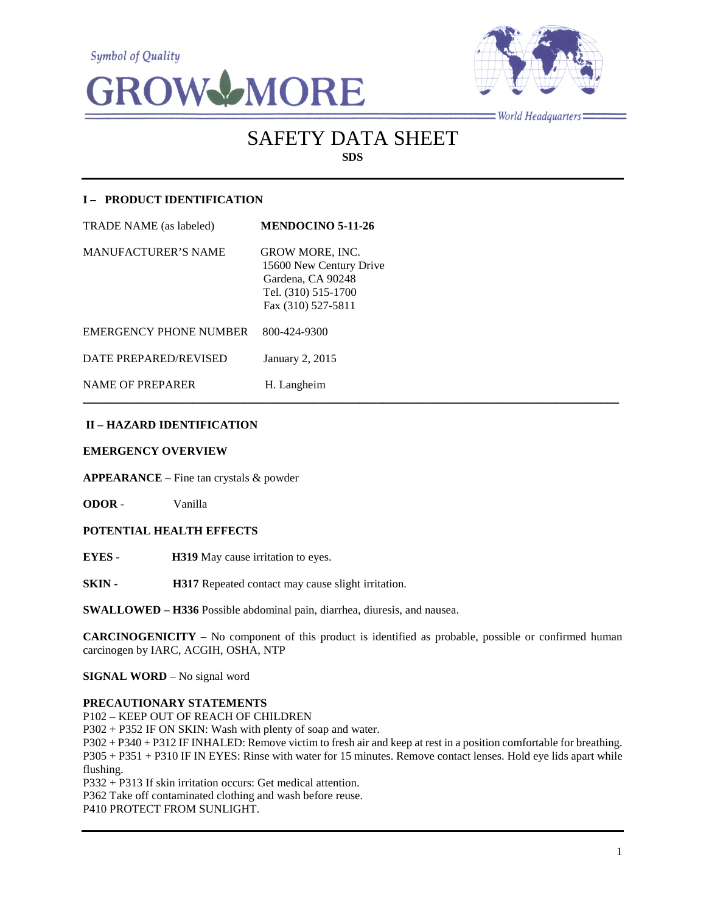**Symbol of Quality** 





 $=$ World Headquarters $=$ 

# SAFETY DATA SHEET **SDS**

## **I – PRODUCT IDENTIFICATION**

| <b>TRADE NAME</b> (as labeled) | <b>MENDOCINO 5-11-26</b>                                                                                            |
|--------------------------------|---------------------------------------------------------------------------------------------------------------------|
| <b>MANUFACTURER'S NAME</b>     | <b>GROW MORE, INC.</b><br>15600 New Century Drive<br>Gardena, CA 90248<br>Tel. (310) 515-1700<br>Fax (310) 527-5811 |
| <b>EMERGENCY PHONE NUMBER</b>  | 800-424-9300                                                                                                        |
| DATE PREPARED/REVISED          | January 2, 2015                                                                                                     |
| <b>NAME OF PREPARER</b>        | H. Langheim                                                                                                         |

## **II – HAZARD IDENTIFICATION**

#### **EMERGENCY OVERVIEW**

**APPEARANCE** – Fine tan crystals & powder

**ODOR** - Vanilla

## **POTENTIAL HEALTH EFFECTS**

**EYES - H319** May cause irritation to eyes.

**SKIN - H317** Repeated contact may cause slight irritation.

**SWALLOWED – H336** Possible abdominal pain, diarrhea, diuresis, and nausea.

**CARCINOGENICITY** – No component of this product is identified as probable, possible or confirmed human carcinogen by IARC, ACGIH, OSHA, NTP

 $\mathcal{L}_\mathcal{L} = \mathcal{L}_\mathcal{L} = \mathcal{L}_\mathcal{L} = \mathcal{L}_\mathcal{L} = \mathcal{L}_\mathcal{L} = \mathcal{L}_\mathcal{L} = \mathcal{L}_\mathcal{L} = \mathcal{L}_\mathcal{L} = \mathcal{L}_\mathcal{L} = \mathcal{L}_\mathcal{L} = \mathcal{L}_\mathcal{L} = \mathcal{L}_\mathcal{L} = \mathcal{L}_\mathcal{L} = \mathcal{L}_\mathcal{L} = \mathcal{L}_\mathcal{L} = \mathcal{L}_\mathcal{L} = \mathcal{L}_\mathcal{L}$ 

**SIGNAL WORD** – No signal word

#### **PRECAUTIONARY STATEMENTS**

P102 – KEEP OUT OF REACH OF CHILDREN

P302 + P352 IF ON SKIN: Wash with plenty of soap and water.

P302 + P340 + P312 IF INHALED: Remove victim to fresh air and keep at rest in a position comfortable for breathing. P305 + P351 + P310 IF IN EYES: Rinse with water for 15 minutes. Remove contact lenses. Hold eye lids apart while flushing.

P332 + P313 If skin irritation occurs: Get medical attention.

P362 Take off contaminated clothing and wash before reuse.

P410 PROTECT FROM SUNLIGHT.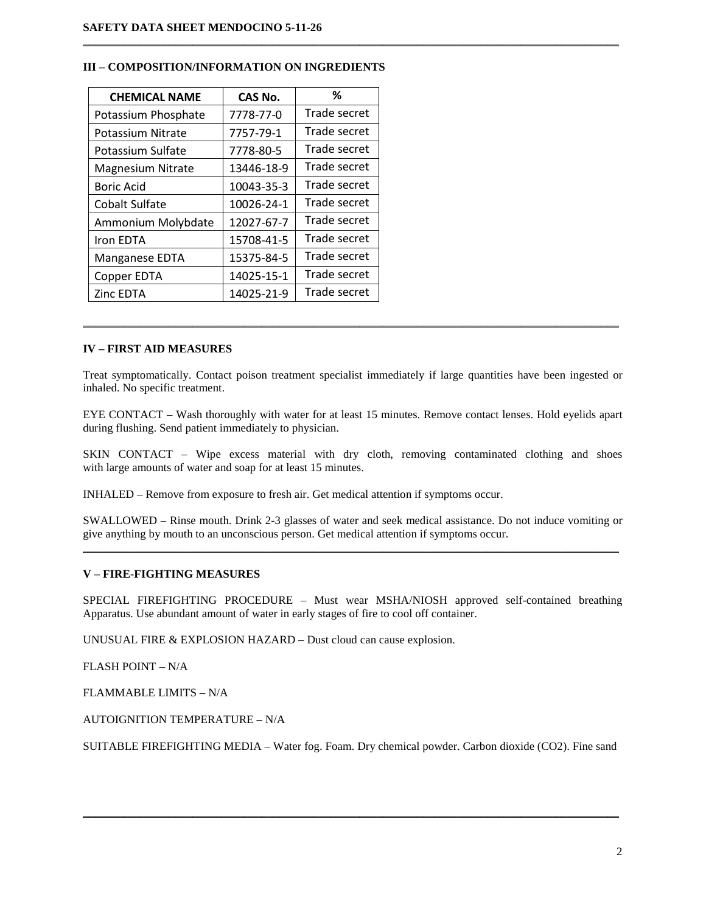| <b>CHEMICAL NAME</b> | <b>CAS No.</b> | %            |
|----------------------|----------------|--------------|
| Potassium Phosphate  | 7778-77-0      | Trade secret |
| Potassium Nitrate    | 7757-79-1      | Trade secret |
| Potassium Sulfate    | 7778-80-5      | Trade secret |
| Magnesium Nitrate    | 13446-18-9     | Trade secret |
| <b>Boric Acid</b>    | 10043-35-3     | Trade secret |
| Cobalt Sulfate       | 10026-24-1     | Trade secret |
| Ammonium Molybdate   | 12027-67-7     | Trade secret |
| Iron EDTA            | 15708-41-5     | Trade secret |
| Manganese EDTA       | 15375-84-5     | Trade secret |
| Copper EDTA          | 14025-15-1     | Trade secret |
| Zinc EDTA            | 14025-21-9     | Trade secret |

#### **III – COMPOSITION/INFORMATION ON INGREDIENTS**

## **IV – FIRST AID MEASURES**

Treat symptomatically. Contact poison treatment specialist immediately if large quantities have been ingested or inhaled. No specific treatment.

\_\_\_\_\_\_\_\_\_\_\_\_\_\_\_\_\_\_\_\_\_\_\_\_\_\_\_\_\_\_\_\_\_\_\_\_\_\_\_\_\_\_\_\_\_\_\_\_\_\_\_\_\_\_\_\_\_\_\_\_\_\_\_\_\_\_\_\_\_\_\_\_\_\_\_\_\_\_\_\_\_\_\_\_\_\_\_\_\_\_\_\_\_

 $\mathcal{L}_\mathcal{L} = \{ \mathcal{L}_\mathcal{L} = \{ \mathcal{L}_\mathcal{L} = \{ \mathcal{L}_\mathcal{L} = \{ \mathcal{L}_\mathcal{L} = \{ \mathcal{L}_\mathcal{L} = \{ \mathcal{L}_\mathcal{L} = \{ \mathcal{L}_\mathcal{L} = \{ \mathcal{L}_\mathcal{L} = \{ \mathcal{L}_\mathcal{L} = \{ \mathcal{L}_\mathcal{L} = \{ \mathcal{L}_\mathcal{L} = \{ \mathcal{L}_\mathcal{L} = \{ \mathcal{L}_\mathcal{L} = \{ \mathcal{L}_\mathcal{$ 

EYE CONTACT – Wash thoroughly with water for at least 15 minutes. Remove contact lenses. Hold eyelids apart during flushing. Send patient immediately to physician.

SKIN CONTACT – Wipe excess material with dry cloth, removing contaminated clothing and shoes with large amounts of water and soap for at least 15 minutes.

INHALED – Remove from exposure to fresh air. Get medical attention if symptoms occur.

SWALLOWED – Rinse mouth. Drink 2-3 glasses of water and seek medical assistance. Do not induce vomiting or give anything by mouth to an unconscious person. Get medical attention if symptoms occur.  $\mathcal{L}_\mathcal{L} = \{ \mathcal{L}_\mathcal{L} = \{ \mathcal{L}_\mathcal{L} = \{ \mathcal{L}_\mathcal{L} = \{ \mathcal{L}_\mathcal{L} = \{ \mathcal{L}_\mathcal{L} = \{ \mathcal{L}_\mathcal{L} = \{ \mathcal{L}_\mathcal{L} = \{ \mathcal{L}_\mathcal{L} = \{ \mathcal{L}_\mathcal{L} = \{ \mathcal{L}_\mathcal{L} = \{ \mathcal{L}_\mathcal{L} = \{ \mathcal{L}_\mathcal{L} = \{ \mathcal{L}_\mathcal{L} = \{ \mathcal{L}_\mathcal{$ 

#### **V – FIRE-FIGHTING MEASURES**

SPECIAL FIREFIGHTING PROCEDURE – Must wear MSHA/NIOSH approved self-contained breathing Apparatus. Use abundant amount of water in early stages of fire to cool off container.

UNUSUAL FIRE & EXPLOSION HAZARD – Dust cloud can cause explosion.

FLASH POINT – N/A

FLAMMABLE LIMITS – N/A

AUTOIGNITION TEMPERATURE – N/A

SUITABLE FIREFIGHTING MEDIA – Water fog. Foam. Dry chemical powder. Carbon dioxide (CO2). Fine sand

\_\_\_\_\_\_\_\_\_\_\_\_\_\_\_\_\_\_\_\_\_\_\_\_\_\_\_\_\_\_\_\_\_\_\_\_\_\_\_\_\_\_\_\_\_\_\_\_\_\_\_\_\_\_\_\_\_\_\_\_\_\_\_\_\_\_\_\_\_\_\_\_\_\_\_\_\_\_\_\_\_\_\_\_\_\_\_\_\_\_\_\_\_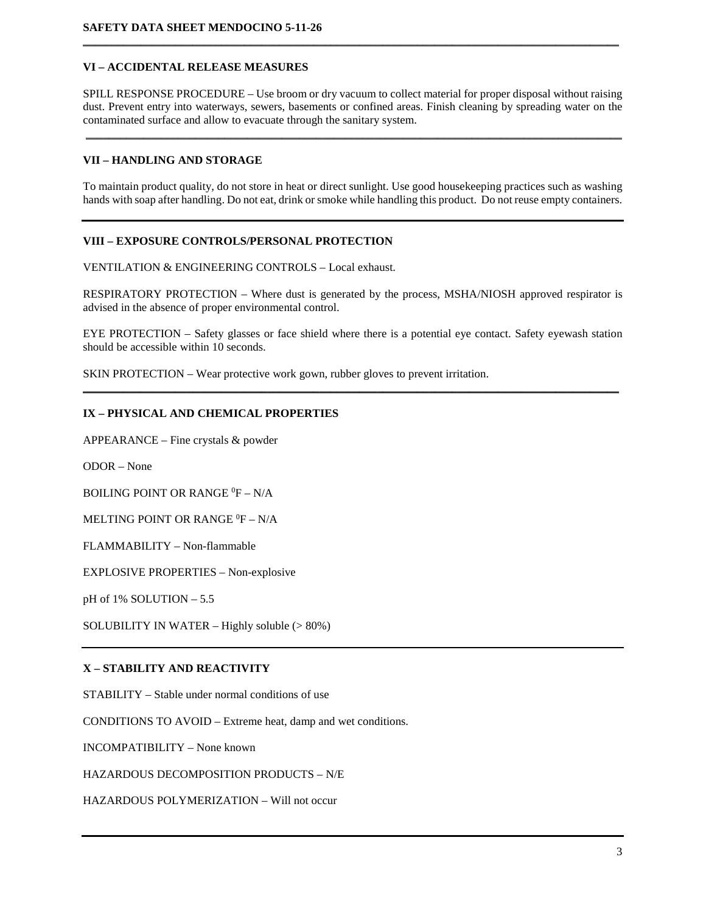## **VI – ACCIDENTAL RELEASE MEASURES**

SPILL RESPONSE PROCEDURE – Use broom or dry vacuum to collect material for proper disposal without raising dust. Prevent entry into waterways, sewers, basements or confined areas. Finish cleaning by spreading water on the contaminated surface and allow to evacuate through the sanitary system.

\_\_\_\_\_\_\_\_\_\_\_\_\_\_\_\_\_\_\_\_\_\_\_\_\_\_\_\_\_\_\_\_\_\_\_\_\_\_\_\_\_\_\_\_\_\_\_\_\_\_\_\_\_\_\_\_\_\_\_\_\_\_\_\_\_\_\_\_\_\_\_\_\_\_\_\_\_\_\_\_\_\_\_\_\_\_\_\_\_\_\_\_\_

 $\mathcal{L}_\mathcal{L} = \{ \mathcal{L}_\mathcal{L} = \{ \mathcal{L}_\mathcal{L} = \{ \mathcal{L}_\mathcal{L} = \{ \mathcal{L}_\mathcal{L} = \{ \mathcal{L}_\mathcal{L} = \{ \mathcal{L}_\mathcal{L} = \{ \mathcal{L}_\mathcal{L} = \{ \mathcal{L}_\mathcal{L} = \{ \mathcal{L}_\mathcal{L} = \{ \mathcal{L}_\mathcal{L} = \{ \mathcal{L}_\mathcal{L} = \{ \mathcal{L}_\mathcal{L} = \{ \mathcal{L}_\mathcal{L} = \{ \mathcal{L}_\mathcal{$ 

## **VII – HANDLING AND STORAGE**

To maintain product quality, do not store in heat or direct sunlight. Use good housekeeping practices such as washing hands with soap after handling. Do not eat, drink or smoke while handling this product. Do not reuse empty containers.

## **VIII – EXPOSURE CONTROLS/PERSONAL PROTECTION**

VENTILATION & ENGINEERING CONTROLS – Local exhaust.

RESPIRATORY PROTECTION – Where dust is generated by the process, MSHA/NIOSH approved respirator is advised in the absence of proper environmental control.

EYE PROTECTION – Safety glasses or face shield where there is a potential eye contact. Safety eyewash station should be accessible within 10 seconds.

**\_\_\_\_\_\_\_\_\_\_\_\_\_\_\_\_\_\_\_\_\_\_\_\_\_\_\_\_\_\_\_\_\_\_\_\_\_\_\_\_\_\_\_\_\_\_\_\_\_\_\_\_\_\_\_\_\_\_\_\_\_\_\_\_\_\_\_\_\_\_\_\_\_\_\_\_\_\_\_\_\_\_\_\_\_\_\_\_\_\_\_\_\_**

SKIN PROTECTION – Wear protective work gown, rubber gloves to prevent irritation.

#### **IX – PHYSICAL AND CHEMICAL PROPERTIES**

APPEARANCE – Fine crystals & powder

ODOR – None

BOILING POINT OR RANGE <sup>0</sup>F – N/A

MELTING POINT OR RANGE  $^0\text{F}$  – N/A

FLAMMABILITY – Non-flammable

EXPLOSIVE PROPERTIES – Non-explosive

pH of 1% SOLUTION – 5.5

SOLUBILITY IN WATER – Highly soluble (> 80%)

#### **X – STABILITY AND REACTIVITY**

STABILITY – Stable under normal conditions of use

CONDITIONS TO AVOID – Extreme heat, damp and wet conditions.

INCOMPATIBILITY – None known

HAZARDOUS DECOMPOSITION PRODUCTS – N/E

HAZARDOUS POLYMERIZATION – Will not occur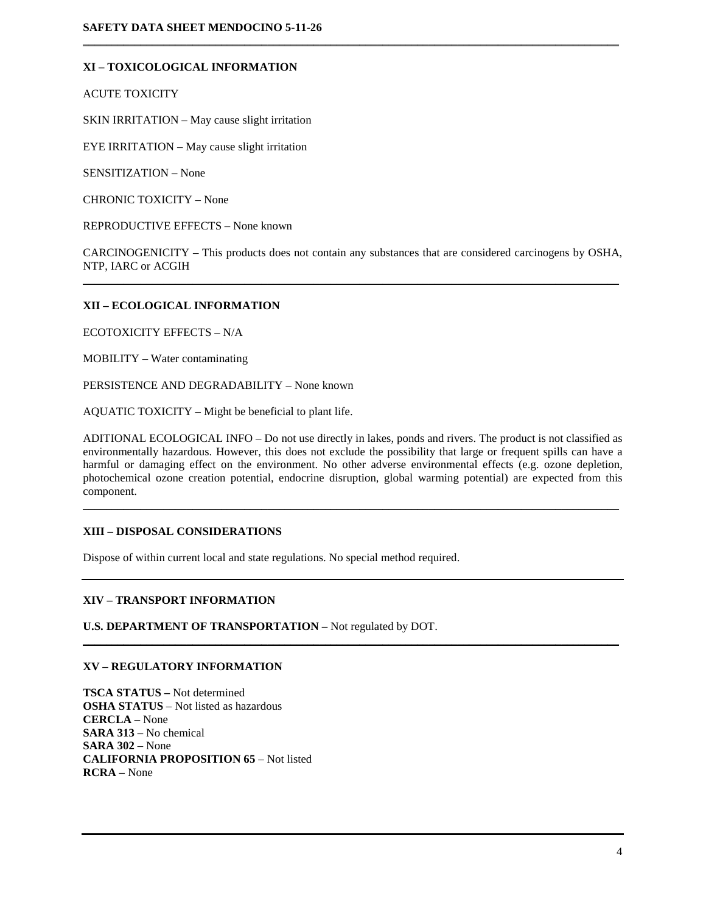## **XI – TOXICOLOGICAL INFORMATION**

ACUTE TOXICITY

SKIN IRRITATION – May cause slight irritation

EYE IRRITATION – May cause slight irritation

SENSITIZATION – None

CHRONIC TOXICITY – None

REPRODUCTIVE EFFECTS – None known

CARCINOGENICITY – This products does not contain any substances that are considered carcinogens by OSHA, NTP, IARC or ACGIH  $\mathcal{L}_\mathcal{L} = \{ \mathcal{L}_\mathcal{L} = \{ \mathcal{L}_\mathcal{L} = \{ \mathcal{L}_\mathcal{L} = \{ \mathcal{L}_\mathcal{L} = \{ \mathcal{L}_\mathcal{L} = \{ \mathcal{L}_\mathcal{L} = \{ \mathcal{L}_\mathcal{L} = \{ \mathcal{L}_\mathcal{L} = \{ \mathcal{L}_\mathcal{L} = \{ \mathcal{L}_\mathcal{L} = \{ \mathcal{L}_\mathcal{L} = \{ \mathcal{L}_\mathcal{L} = \{ \mathcal{L}_\mathcal{L} = \{ \mathcal{L}_\mathcal{$ 

 $\mathcal{L}_\mathcal{L} = \{ \mathcal{L}_\mathcal{L} = \{ \mathcal{L}_\mathcal{L} = \{ \mathcal{L}_\mathcal{L} = \{ \mathcal{L}_\mathcal{L} = \{ \mathcal{L}_\mathcal{L} = \{ \mathcal{L}_\mathcal{L} = \{ \mathcal{L}_\mathcal{L} = \{ \mathcal{L}_\mathcal{L} = \{ \mathcal{L}_\mathcal{L} = \{ \mathcal{L}_\mathcal{L} = \{ \mathcal{L}_\mathcal{L} = \{ \mathcal{L}_\mathcal{L} = \{ \mathcal{L}_\mathcal{L} = \{ \mathcal{L}_\mathcal{$ 

## **XII – ECOLOGICAL INFORMATION**

ECOTOXICITY EFFECTS – N/A

MOBILITY – Water contaminating

PERSISTENCE AND DEGRADABILITY – None known

AQUATIC TOXICITY – Might be beneficial to plant life.

ADITIONAL ECOLOGICAL INFO – Do not use directly in lakes, ponds and rivers. The product is not classified as environmentally hazardous. However, this does not exclude the possibility that large or frequent spills can have a harmful or damaging effect on the environment. No other adverse environmental effects (e.g. ozone depletion, photochemical ozone creation potential, endocrine disruption, global warming potential) are expected from this component.

\_\_\_\_\_\_\_\_\_\_\_\_\_\_\_\_\_\_\_\_\_\_\_\_\_\_\_\_\_\_\_\_\_\_\_\_\_\_\_\_\_\_\_\_\_\_\_\_\_\_\_\_\_\_\_\_\_\_\_\_\_\_\_\_\_\_\_\_\_\_\_\_\_\_\_\_\_\_\_\_\_\_\_\_\_\_\_\_\_\_\_\_\_

\_\_\_\_\_\_\_\_\_\_\_\_\_\_\_\_\_\_\_\_\_\_\_\_\_\_\_\_\_\_\_\_\_\_\_\_\_\_\_\_\_\_\_\_\_\_\_\_\_\_\_\_\_\_\_\_\_\_\_\_\_\_\_\_\_\_\_\_\_\_\_\_\_\_\_\_\_\_\_\_\_\_\_\_\_\_\_\_\_\_\_\_\_

#### **XIII – DISPOSAL CONSIDERATIONS**

Dispose of within current local and state regulations. No special method required.

#### **XIV – TRANSPORT INFORMATION**

**U.S. DEPARTMENT OF TRANSPORTATION –** Not regulated by DOT.

#### **XV – REGULATORY INFORMATION**

**TSCA STATUS –** Not determined **OSHA STATUS** – Not listed as hazardous **CERCLA** – None **SARA 313** – No chemical **SARA 302** – None **CALIFORNIA PROPOSITION 65** – Not listed **RCRA –** None